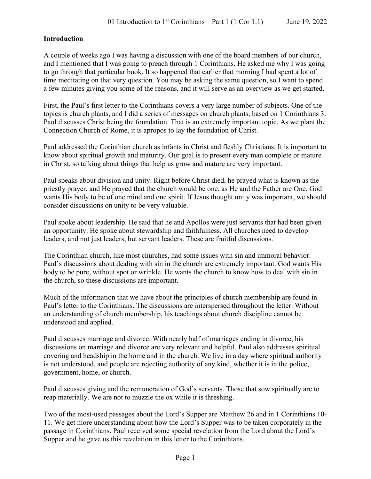## **Introduction**

A couple of weeks ago I was having a discussion with one of the board members of our church, and I mentioned that I was going to preach through 1 Corinthians. He asked me why I was going to go through that particular book. It so happened that earlier that morning I had spent a lot of time meditating on that very question. You may be asking the same question, so I want to spend a few minutes giving you some of the reasons, and it will serve as an overview as we get started.

First, the Paul's first letter to the Corinthians covers a very large number of subjects. One of the topics is church plants, and I did a series of messages on church plants, based on 1 Corinthians 3. Paul discusses Christ being the foundation. That is an extremely important topic. As we plant the Connection Church of Rome, it is apropos to lay the foundation of Christ.

Paul addressed the Corinthian church as infants in Christ and fleshly Christians. It is important to know about spiritual growth and maturity. Our goal is to present every man complete or mature in Christ, so talking about things that help us grow and mature are very important.

Paul speaks about division and unity. Right before Christ died, he prayed what is known as the priestly prayer, and He prayed that the church would be one, as He and the Father are One. God wants His body to be of one mind and one spirit. If Jesus thought unity was important, we should consider discussions on unity to be very valuable.

Paul spoke about leadership. He said that he and Apollos were just servants that had been given an opportunity. He spoke about stewardship and faithfulness. All churches need to develop leaders, and not just leaders, but servant leaders. These are fruitful discussions.

The Corinthian church, like most churches, had some issues with sin and immoral behavior. Paul's discussions about dealing with sin in the church are extremely important. God wants His body to be pure, without spot or wrinkle. He wants the church to know how to deal with sin in the church, so these discussions are important.

Much of the information that we have about the principles of church membership are found in Paul's letter to the Corinthians. The discussions are interspersed throughout the letter. Without an understanding of church membership, his teachings about church discipline cannot be understood and applied.

Paul discusses marriage and divorce. With nearly half of marriages ending in divorce, his discussions on marriage and divorce are very relevant and helpful. Paul also addresses spiritual covering and headship in the home and in the church. We live in a day where spiritual authority is not understood, and people are rejecting authority of any kind, whether it is in the police, government, home, or church.

Paul discusses giving and the remuneration of God's servants. Those that sow spiritually are to reap materially. We are not to muzzle the ox while it is threshing.

Two of the most-used passages about the Lord's Supper are Matthew 26 and in 1 Corinthians 10- 11. We get more understanding about how the Lord's Supper was to be taken corporately in the passage in Corinthians. Paul received some special revelation from the Lord about the Lord's Supper and he gave us this revelation in this letter to the Corinthians.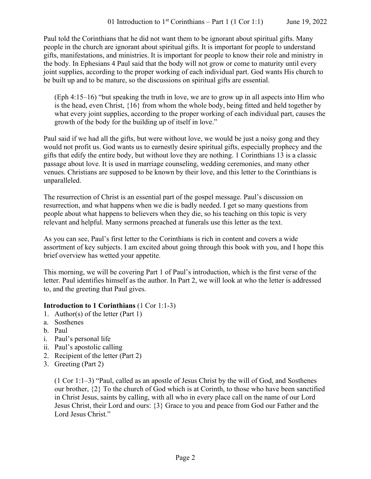Paul told the Corinthians that he did not want them to be ignorant about spiritual gifts. Many people in the church are ignorant about spiritual gifts. It is important for people to understand gifts, manifestations, and ministries. It is important for people to know their role and ministry in the body. In Ephesians 4 Paul said that the body will not grow or come to maturity until every joint supplies, according to the proper working of each individual part. God wants His church to be built up and to be mature, so the discussions on spiritual gifts are essential.

(Eph 4:15–16) "but speaking the truth in love, we are to grow up in all aspects into Him who is the head, even Christ, {16} from whom the whole body, being fitted and held together by what every joint supplies, according to the proper working of each individual part, causes the growth of the body for the building up of itself in love."

Paul said if we had all the gifts, but were without love, we would be just a noisy gong and they would not profit us. God wants us to earnestly desire spiritual gifts, especially prophecy and the gifts that edify the entire body, but without love they are nothing. 1 Corinthians 13 is a classic passage about love. It is used in marriage counseling, wedding ceremonies, and many other venues. Christians are supposed to be known by their love, and this letter to the Corinthians is unparalleled.

The resurrection of Christ is an essential part of the gospel message. Paul's discussion on resurrection, and what happens when we die is badly needed. I get so many questions from people about what happens to believers when they die, so his teaching on this topic is very relevant and helpful. Many sermons preached at funerals use this letter as the text.

As you can see, Paul's first letter to the Corinthians is rich in content and covers a wide assortment of key subjects. I am excited about going through this book with you, and I hope this brief overview has wetted your appetite.

This morning, we will be covering Part 1 of Paul's introduction, which is the first verse of the letter. Paul identifies himself as the author. In Part 2, we will look at who the letter is addressed to, and the greeting that Paul gives.

### **Introduction to 1 Corinthians** (1 Cor 1:1-3)

- 1. Author(s) of the letter (Part 1)
- a. Sosthenes
- b. Paul
- i. Paul's personal life
- ii. Paul's apostolic calling
- 2. Recipient of the letter (Part 2)
- 3. Greeting (Part 2)

(1 Cor 1:1–3) "Paul, called as an apostle of Jesus Christ by the will of God, and Sosthenes our brother, {2} To the church of God which is at Corinth, to those who have been sanctified in Christ Jesus, saints by calling, with all who in every place call on the name of our Lord Jesus Christ, their Lord and ours: {3} Grace to you and peace from God our Father and the Lord Jesus Christ."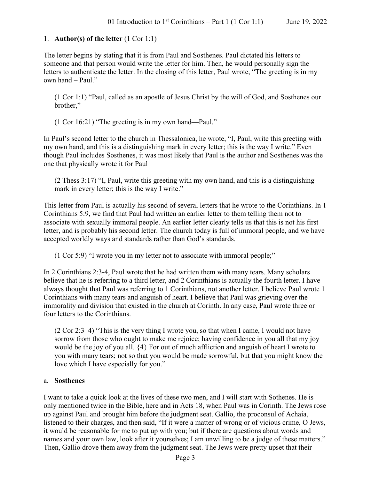## 1. **Author(s) of the letter** (1 Cor 1:1)

The letter begins by stating that it is from Paul and Sosthenes. Paul dictated his letters to someone and that person would write the letter for him. Then, he would personally sign the letters to authenticate the letter. In the closing of this letter, Paul wrote, "The greeting is in my own hand – Paul."

(1 Cor 1:1) "Paul, called as an apostle of Jesus Christ by the will of God, and Sosthenes our brother,"

(1 Cor 16:21) "The greeting is in my own hand—Paul."

In Paul's second letter to the church in Thessalonica, he wrote, "I, Paul, write this greeting with my own hand, and this is a distinguishing mark in every letter; this is the way I write." Even though Paul includes Sosthenes, it was most likely that Paul is the author and Sosthenes was the one that physically wrote it for Paul

(2 Thess 3:17) "I, Paul, write this greeting with my own hand, and this is a distinguishing mark in every letter; this is the way I write."

This letter from Paul is actually his second of several letters that he wrote to the Corinthians. In 1 Corinthians 5:9, we find that Paul had written an earlier letter to them telling them not to associate with sexually immoral people. An earlier letter clearly tells us that this is not his first letter, and is probably his second letter. The church today is full of immoral people, and we have accepted worldly ways and standards rather than God's standards.

(1 Cor 5:9) "I wrote you in my letter not to associate with immoral people;"

In 2 Corinthians 2:3-4, Paul wrote that he had written them with many tears. Many scholars believe that he is referring to a third letter, and 2 Corinthians is actually the fourth letter. I have always thought that Paul was referring to 1 Corinthians, not another letter. I believe Paul wrote 1 Corinthians with many tears and anguish of heart. I believe that Paul was grieving over the immorality and division that existed in the church at Corinth. In any case, Paul wrote three or four letters to the Corinthians.

(2 Cor 2:3–4) "This is the very thing I wrote you, so that when I came, I would not have sorrow from those who ought to make me rejoice; having confidence in you all that my joy would be the joy of you all. {4} For out of much affliction and anguish of heart I wrote to you with many tears; not so that you would be made sorrowful, but that you might know the love which I have especially for you."

### a. **Sosthenes**

I want to take a quick look at the lives of these two men, and I will start with Sothenes. He is only mentioned twice in the Bible, here and in Acts 18, when Paul was in Corinth. The Jews rose up against Paul and brought him before the judgment seat. Gallio, the proconsul of Achaia, listened to their charges, and then said, "If it were a matter of wrong or of vicious crime, O Jews, it would be reasonable for me to put up with you; but if there are questions about words and names and your own law, look after it yourselves; I am unwilling to be a judge of these matters." Then, Gallio drove them away from the judgment seat. The Jews were pretty upset that their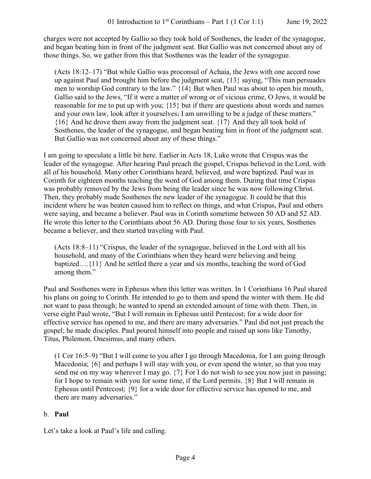charges were not accepted by Gallio so they took hold of Sosthenes, the leader of the synagogue, and began beating him in front of the judgment seat. But Gallio was not concerned about any of those things. So, we gather from this that Sosthenes was the leader of the synagogue.

(Acts 18:12–17) "But while Gallio was proconsul of Achaia, the Jews with one accord rose up against Paul and brought him before the judgment seat, {13} saying, "This man persuades men to worship God contrary to the law." {14} But when Paul was about to open his mouth, Gallio said to the Jews, "If it were a matter of wrong or of vicious crime, O Jews, it would be reasonable for me to put up with you; {15} but if there are questions about words and names and your own law, look after it yourselves; I am unwilling to be a judge of these matters." {16} And he drove them away from the judgment seat. {17} And they all took hold of Sosthenes, the leader of the synagogue, and began beating him in front of the judgment seat. But Gallio was not concerned about any of these things."

I am going to speculate a little bit here. Earlier in Acts 18, Luke wrote that Crispus was the leader of the synagogue. After hearing Paul preach the gospel, Crispus believed in the Lord, with all of his household. Many other Corinthians heard, believed, and were baptized. Paul was in Corinth for eighteen months teaching the word of God among them. During that time Crispus was probably removed by the Jews from being the leader since he was now following Christ. Then, they probably made Sosthenes the new leader of the synagogue. It could be that this incident where he was beaten caused him to reflect on things, and what Crispus, Paul and others were saying, and became a believer. Paul was in Corinth sometime between 50 AD and 52 AD. He wrote this letter to the Corinthians about 56 AD. During those four to six years, Sosthenes became a believer, and then started traveling with Paul.

(Acts 18:8–11) "Crispus, the leader of the synagogue, believed in the Lord with all his household, and many of the Corinthians when they heard were believing and being baptized….{11} And he settled there a year and six months, teaching the word of God among them."

Paul and Sosthenes were in Ephesus when this letter was written. In 1 Corinthians 16 Paul shared his plans on going to Corinth. He intended to go to them and spend the winter with them. He did not want to pass through; he wanted to spend an extended amount of time with them. Then, in verse eight Paul wrote, "But I will remain in Ephesus until Pentecost; for a wide door for effective service has opened to me, and there are many adversaries." Paul did not just preach the gospel; he made disciples. Paul poured himself into people and raised up sons like Timothy, Titus, Philemon, Onesimus, and many others.

(1 Cor 16:5–9) "But I will come to you after I go through Macedonia, for I am going through Macedonia;  $\{6\}$  and perhaps I will stay with you, or even spend the winter, so that you may send me on my way wherever I may go.  $\{7\}$  For I do not wish to see you now just in passing; for I hope to remain with you for some time, if the Lord permits. {8} But I will remain in Ephesus until Pentecost; {9} for a wide door for effective service has opened to me, and there are many adversaries."

## b. **Paul**

Let's take a look at Paul's life and calling.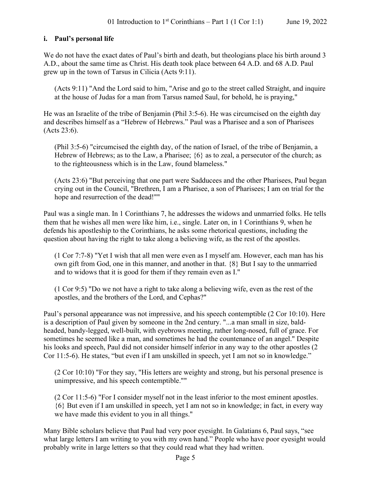## **i. Paul's personal life**

We do not have the exact dates of Paul's birth and death, but theologians place his birth around 3 A.D., about the same time as Christ. His death took place between 64 A.D. and 68 A.D. Paul grew up in the town of Tarsus in Cilicia (Acts 9:11).

(Acts 9:11) "And the Lord said to him, "Arise and go to the street called Straight, and inquire at the house of Judas for a man from Tarsus named Saul, for behold, he is praying,"

He was an Israelite of the tribe of Benjamin (Phil 3:5-6). He was circumcised on the eighth day and describes himself as a "Hebrew of Hebrews." Paul was a Pharisee and a son of Pharisees (Acts 23:6).

(Phil 3:5-6) "circumcised the eighth day, of the nation of Israel, of the tribe of Benjamin, a Hebrew of Hebrews; as to the Law, a Pharisee; {6} as to zeal, a persecutor of the church; as to the righteousness which is in the Law, found blameless."

(Acts 23:6) "But perceiving that one part were Sadducees and the other Pharisees, Paul began crying out in the Council, "Brethren, I am a Pharisee, a son of Pharisees; I am on trial for the hope and resurrection of the dead!""

Paul was a single man. In 1 Corinthians 7, he addresses the widows and unmarried folks. He tells them that he wishes all men were like him, i.e., single. Later on, in 1 Corinthians 9, when he defends his apostleship to the Corinthians, he asks some rhetorical questions, including the question about having the right to take along a believing wife, as the rest of the apostles.

(1 Cor 7:7-8) "Yet I wish that all men were even as I myself am. However, each man has his own gift from God, one in this manner, and another in that. {8} But I say to the unmarried and to widows that it is good for them if they remain even as I."

(1 Cor 9:5) "Do we not have a right to take along a believing wife, even as the rest of the apostles, and the brothers of the Lord, and Cephas?"

Paul's personal appearance was not impressive, and his speech contemptible (2 Cor 10:10). Here is a description of Paul given by someone in the 2nd century. "...a man small in size, baldheaded, bandy-legged, well-built, with eyebrows meeting, rather long-nosed, full of grace. For sometimes he seemed like a man, and sometimes he had the countenance of an angel." Despite his looks and speech, Paul did not consider himself inferior in any way to the other apostles (2 Cor 11:5-6). He states, "but even if I am unskilled in speech, yet I am not so in knowledge."

(2 Cor 10:10) "For they say, "His letters are weighty and strong, but his personal presence is unimpressive, and his speech contemptible.""

(2 Cor 11:5-6) "For I consider myself not in the least inferior to the most eminent apostles. {6} But even if I am unskilled in speech, yet I am not so in knowledge; in fact, in every way we have made this evident to you in all things."

Many Bible scholars believe that Paul had very poor eyesight. In Galatians 6, Paul says, "see what large letters I am writing to you with my own hand." People who have poor eyesight would probably write in large letters so that they could read what they had written.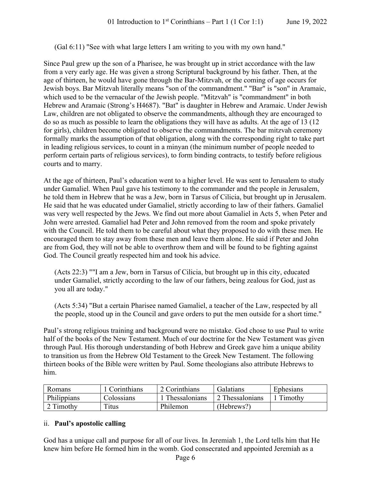(Gal 6:11) "See with what large letters I am writing to you with my own hand."

Since Paul grew up the son of a Pharisee, he was brought up in strict accordance with the law from a very early age. He was given a strong Scriptural background by his father. Then, at the age of thirteen, he would have gone through the Bar-Mitzvah, or the coming of age occurs for Jewish boys. Bar Mitzvah literally means "son of the commandment." "Bar" is "son" in Aramaic, which used to be the vernacular of the Jewish people. "Mitzvah" is "commandment" in both Hebrew and Aramaic (Strong's H4687). "Bat" is daughter in Hebrew and Aramaic. Under Jewish Law, children are not obligated to observe the commandments, although they are encouraged to do so as much as possible to learn the obligations they will have as adults. At the age of 13 (12 for girls), children become obligated to observe the commandments. The bar mitzvah ceremony formally marks the assumption of that obligation, along with the corresponding right to take part in leading religious services, to count in a minyan (the minimum number of people needed to perform certain parts of religious services), to form binding contracts, to testify before religious courts and to marry.

At the age of thirteen, Paul's education went to a higher level. He was sent to Jerusalem to study under Gamaliel. When Paul gave his testimony to the commander and the people in Jerusalem, he told them in Hebrew that he was a Jew, born in Tarsus of Cilicia, but brought up in Jerusalem. He said that he was educated under Gamaliel, strictly according to law of their fathers. Gamaliel was very well respected by the Jews. We find out more about Gamaliel in Acts 5, when Peter and John were arrested. Gamaliel had Peter and John removed from the room and spoke privately with the Council. He told them to be careful about what they proposed to do with these men. He encouraged them to stay away from these men and leave them alone. He said if Peter and John are from God, they will not be able to overthrow them and will be found to be fighting against God. The Council greatly respected him and took his advice.

(Acts 22:3) ""I am a Jew, born in Tarsus of Cilicia, but brought up in this city, educated under Gamaliel, strictly according to the law of our fathers, being zealous for God, just as you all are today."

(Acts 5:34) "But a certain Pharisee named Gamaliel, a teacher of the Law, respected by all the people, stood up in the Council and gave orders to put the men outside for a short time."

Paul's strong religious training and background were no mistake. God chose to use Paul to write half of the books of the New Testament. Much of our doctrine for the New Testament was given through Paul. His thorough understanding of both Hebrew and Greek gave him a unique ability to transition us from the Hebrew Old Testament to the Greek New Testament. The following thirteen books of the Bible were written by Paul. Some theologians also attribute Hebrews to him.

| Romans      | 1 Corinthians | 2 Corinthians        | Galatians       | Ephesians |
|-------------|---------------|----------------------|-----------------|-----------|
| Philippians | Colossians    | <b>Thessalonians</b> | 2 Thessalonians | Timothy   |
| 2 Timothy   | Titus         | Philemon             | (Hebrews?)      |           |

### ii. **Paul's apostolic calling**

God has a unique call and purpose for all of our lives. In Jeremiah 1, the Lord tells him that He knew him before He formed him in the womb. God consecrated and appointed Jeremiah as a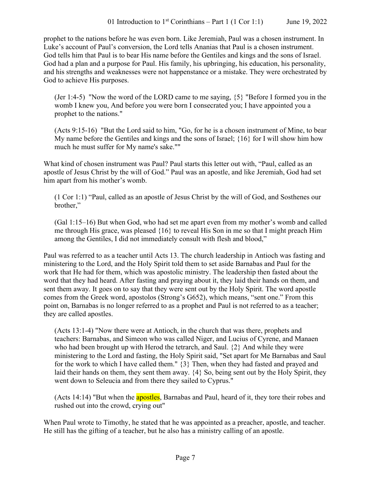prophet to the nations before he was even born. Like Jeremiah, Paul was a chosen instrument. In Luke's account of Paul's conversion, the Lord tells Ananias that Paul is a chosen instrument. God tells him that Paul is to bear His name before the Gentiles and kings and the sons of Israel. God had a plan and a purpose for Paul. His family, his upbringing, his education, his personality, and his strengths and weaknesses were not happenstance or a mistake. They were orchestrated by God to achieve His purposes.

(Jer 1:4-5) "Now the word of the LORD came to me saying, {5} "Before I formed you in the womb I knew you, And before you were born I consecrated you; I have appointed you a prophet to the nations."

(Acts 9:15-16) "But the Lord said to him, "Go, for he is a chosen instrument of Mine, to bear My name before the Gentiles and kings and the sons of Israel; {16} for I will show him how much he must suffer for My name's sake.""

What kind of chosen instrument was Paul? Paul starts this letter out with, "Paul, called as an apostle of Jesus Christ by the will of God." Paul was an apostle, and like Jeremiah, God had set him apart from his mother's womb.

(1 Cor 1:1) "Paul, called as an apostle of Jesus Christ by the will of God, and Sosthenes our brother,"

(Gal 1:15–16) But when God, who had set me apart even from my mother's womb and called me through His grace, was pleased {16} to reveal His Son in me so that I might preach Him among the Gentiles, I did not immediately consult with flesh and blood,"

Paul was referred to as a teacher until Acts 13. The church leadership in Antioch was fasting and ministering to the Lord, and the Holy Spirit told them to set aside Barnabas and Paul for the work that He had for them, which was apostolic ministry. The leadership then fasted about the word that they had heard. After fasting and praying about it, they laid their hands on them, and sent them away. It goes on to say that they were sent out by the Holy Spirit. The word apostle comes from the Greek word, apostolos (Strong's G652), which means, "sent one." From this point on, Barnabas is no longer referred to as a prophet and Paul is not referred to as a teacher; they are called apostles.

(Acts 13:1-4) "Now there were at Antioch, in the church that was there, prophets and teachers: Barnabas, and Simeon who was called Niger, and Lucius of Cyrene, and Manaen who had been brought up with Herod the tetrarch, and Saul. {2} And while they were ministering to the Lord and fasting, the Holy Spirit said, "Set apart for Me Barnabas and Saul for the work to which I have called them." {3} Then, when they had fasted and prayed and laid their hands on them, they sent them away. {4} So, being sent out by the Holy Spirit, they went down to Seleucia and from there they sailed to Cyprus."

(Acts 14:14) "But when the **apostles**, Barnabas and Paul, heard of it, they tore their robes and rushed out into the crowd, crying out"

When Paul wrote to Timothy, he stated that he was appointed as a preacher, apostle, and teacher. He still has the gifting of a teacher, but he also has a ministry calling of an apostle.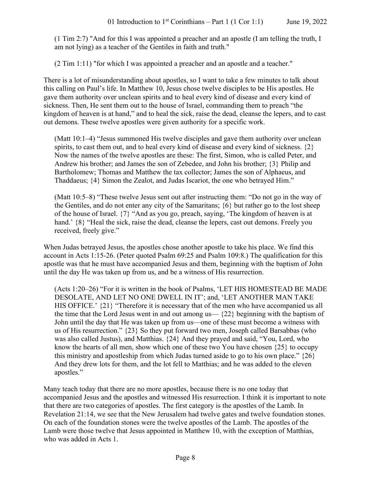(1 Tim 2:7) "And for this I was appointed a preacher and an apostle (I am telling the truth, I am not lying) as a teacher of the Gentiles in faith and truth."

(2 Tim 1:11) "for which I was appointed a preacher and an apostle and a teacher."

There is a lot of misunderstanding about apostles, so I want to take a few minutes to talk about this calling on Paul's life. In Matthew 10, Jesus chose twelve disciples to be His apostles. He gave them authority over unclean spirits and to heal every kind of disease and every kind of sickness. Then, He sent them out to the house of Israel, commanding them to preach "the kingdom of heaven is at hand," and to heal the sick, raise the dead, cleanse the lepers, and to cast out demons. These twelve apostles were given authority for a specific work.

(Matt 10:1–4) "Jesus summoned His twelve disciples and gave them authority over unclean spirits, to cast them out, and to heal every kind of disease and every kind of sickness.  $\{2\}$ Now the names of the twelve apostles are these: The first, Simon, who is called Peter, and Andrew his brother; and James the son of Zebedee, and John his brother; {3} Philip and Bartholomew; Thomas and Matthew the tax collector; James the son of Alphaeus, and Thaddaeus; {4} Simon the Zealot, and Judas Iscariot, the one who betrayed Him."

(Matt 10:5–8) "These twelve Jesus sent out after instructing them: "Do not go in the way of the Gentiles, and do not enter any city of the Samaritans; {6} but rather go to the lost sheep of the house of Israel. {7} "And as you go, preach, saying, 'The kingdom of heaven is at hand.'  $\{8\}$  "Heal the sick, raise the dead, cleanse the lepers, cast out demons. Freely you received, freely give."

When Judas betrayed Jesus, the apostles chose another apostle to take his place. We find this account in Acts 1:15-26. (Peter quoted Psalm 69:25 and Psalm 109:8.) The qualification for this apostle was that he must have accompanied Jesus and them, beginning with the baptism of John until the day He was taken up from us, and be a witness of His resurrection.

(Acts 1:20–26) "For it is written in the book of Psalms, 'LET HIS HOMESTEAD BE MADE DESOLATE, AND LET NO ONE DWELL IN IT'; and, 'LET ANOTHER MAN TAKE HIS OFFICE.'  $\{21\}$  "Therefore it is necessary that of the men who have accompanied us all the time that the Lord Jesus went in and out among us— $\{22\}$  beginning with the baptism of John until the day that He was taken up from us—one of these must become a witness with us of His resurrection." {23} So they put forward two men, Joseph called Barsabbas (who was also called Justus), and Matthias. {24} And they prayed and said, "You, Lord, who know the hearts of all men, show which one of these two You have chosen {25} to occupy this ministry and apostleship from which Judas turned aside to go to his own place."  $\{26\}$ And they drew lots for them, and the lot fell to Matthias; and he was added to the eleven apostles."

Many teach today that there are no more apostles, because there is no one today that accompanied Jesus and the apostles and witnessed His resurrection. I think it is important to note that there are two categories of apostles. The first category is the apostles of the Lamb. In Revelation 21:14, we see that the New Jerusalem had twelve gates and twelve foundation stones. On each of the foundation stones were the twelve apostles of the Lamb. The apostles of the Lamb were those twelve that Jesus appointed in Matthew 10, with the exception of Matthias, who was added in Acts 1.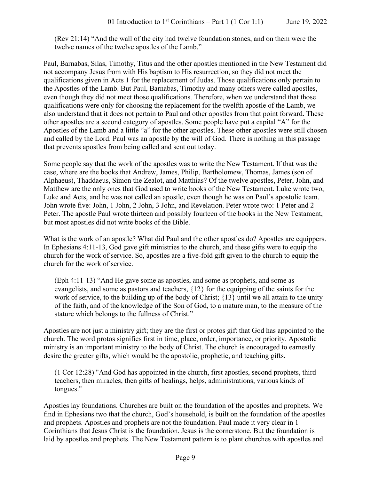(Rev 21:14) "And the wall of the city had twelve foundation stones, and on them were the twelve names of the twelve apostles of the Lamb."

Paul, Barnabas, Silas, Timothy, Titus and the other apostles mentioned in the New Testament did not accompany Jesus from with His baptism to His resurrection, so they did not meet the qualifications given in Acts 1 for the replacement of Judas. Those qualifications only pertain to the Apostles of the Lamb. But Paul, Barnabas, Timothy and many others were called apostles, even though they did not meet those qualifications. Therefore, when we understand that those qualifications were only for choosing the replacement for the twelfth apostle of the Lamb, we also understand that it does not pertain to Paul and other apostles from that point forward. These other apostles are a second category of apostles. Some people have put a capital "A" for the Apostles of the Lamb and a little "a" for the other apostles. These other apostles were still chosen and called by the Lord. Paul was an apostle by the will of God. There is nothing in this passage that prevents apostles from being called and sent out today.

Some people say that the work of the apostles was to write the New Testament. If that was the case, where are the books that Andrew, James, Philip, Bartholomew, Thomas, James (son of Alphaeus), Thaddaeus, Simon the Zealot, and Matthias? Of the twelve apostles, Peter, John, and Matthew are the only ones that God used to write books of the New Testament. Luke wrote two, Luke and Acts, and he was not called an apostle, even though he was on Paul's apostolic team. John wrote five: John, 1 John, 2 John, 3 John, and Revelation. Peter wrote two: 1 Peter and 2 Peter. The apostle Paul wrote thirteen and possibly fourteen of the books in the New Testament, but most apostles did not write books of the Bible.

What is the work of an apostle? What did Paul and the other apostles do? Apostles are equippers. In Ephesians 4:11-13, God gave gift ministries to the church, and these gifts were to equip the church for the work of service. So, apostles are a five-fold gift given to the church to equip the church for the work of service.

(Eph 4:11-13) "And He gave some as apostles, and some as prophets, and some as evangelists, and some as pastors and teachers, {12} for the equipping of the saints for the work of service, to the building up of the body of Christ; {13} until we all attain to the unity of the faith, and of the knowledge of the Son of God, to a mature man, to the measure of the stature which belongs to the fullness of Christ."

Apostles are not just a ministry gift; they are the first or protos gift that God has appointed to the church. The word protos signifies first in time, place, order, importance, or priority. Apostolic ministry is an important ministry to the body of Christ. The church is encouraged to earnestly desire the greater gifts, which would be the apostolic, prophetic, and teaching gifts.

(1 Cor 12:28) "And God has appointed in the church, first apostles, second prophets, third teachers, then miracles, then gifts of healings, helps, administrations, various kinds of tongues."

Apostles lay foundations. Churches are built on the foundation of the apostles and prophets. We find in Ephesians two that the church, God's household, is built on the foundation of the apostles and prophets. Apostles and prophets are not the foundation. Paul made it very clear in 1 Corinthians that Jesus Christ is the foundation. Jesus is the cornerstone. But the foundation is laid by apostles and prophets. The New Testament pattern is to plant churches with apostles and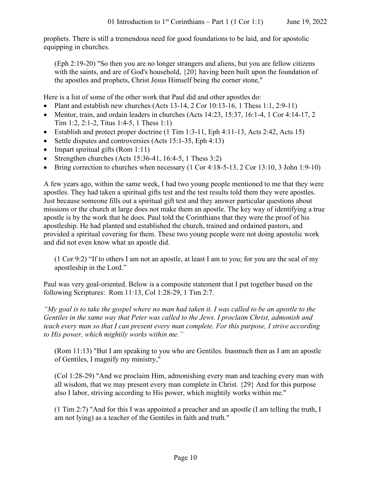prophets. There is still a tremendous need for good foundations to be laid, and for apostolic equipping in churches.

(Eph 2:19-20) "So then you are no longer strangers and aliens, but you are fellow citizens with the saints, and are of God's household,  $\{20\}$  having been built upon the foundation of the apostles and prophets, Christ Jesus Himself being the corner stone,"

Here is a list of some of the other work that Paul did and other apostles do:

- Plant and establish new churches (Acts 13-14, 2 Cor 10:13-16, 1 Thess 1:1, 2:9-11)
- Mentor, train, and ordain leaders in churches (Acts 14:23, 15:37, 16:1-4, 1 Cor 4:14-17, 2 Tim 1:2, 2:1-2, Titus 1:4-5, 1 Thess 1:1)
- Establish and protect proper doctrine (1 Tim 1:3-11, Eph 4:11-13, Acts 2:42, Acts 15)
- Settle disputes and controversies (Acts 15:1-35, Eph 4:13)
- Impart spiritual gifts (Rom 1:11)
- Strengthen churches (Acts 15:36-41, 16:4-5, 1 Thess 3:2)
- Bring correction to churches when necessary (1 Cor 4:18-5-13, 2 Cor 13:10, 3 John 1:9-10)

A few years ago, within the same week, I had two young people mentioned to me that they were apostles. They had taken a spiritual gifts test and the test results told them they were apostles. Just because someone fills out a spiritual gift test and they answer particular questions about missions or the church at large does not make them an apostle. The key way of identifying a true apostle is by the work that he does. Paul told the Corinthians that they were the proof of his apostleship. He had planted and established the church, trained and ordained pastors, and provided a spiritual covering for them. These two young people were not doing apostolic work and did not even know what an apostle did.

(1 Cor 9:2) "If to others I am not an apostle, at least I am to you; for you are the seal of my apostleship in the Lord."

Paul was very goal-oriented. Below is a composite statement that I put together based on the following Scriptures: Rom 11:13, Col 1:28-29, 1 Tim 2:7.

*"My goal is to take the gospel where no man had taken it. I was called to be an apostle to the Gentiles in the same way that Peter was called to the Jews. I proclaim Christ, admonish and teach every man so that I can present every man complete. For this purpose, I strive according to His power, which mightily works within me."*

(Rom 11:13) "But I am speaking to you who are Gentiles. Inasmuch then as I am an apostle of Gentiles, I magnify my ministry,"

(Col 1:28-29) "And we proclaim Him, admonishing every man and teaching every man with all wisdom, that we may present every man complete in Christ. {29} And for this purpose also I labor, striving according to His power, which mightily works within me."

(1 Tim 2:7) "And for this I was appointed a preacher and an apostle (I am telling the truth, I am not lying) as a teacher of the Gentiles in faith and truth."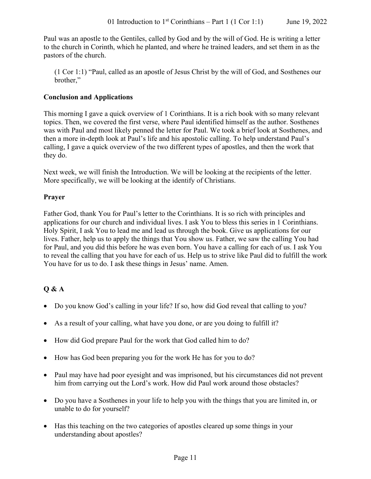Paul was an apostle to the Gentiles, called by God and by the will of God. He is writing a letter to the church in Corinth, which he planted, and where he trained leaders, and set them in as the pastors of the church.

(1 Cor 1:1) "Paul, called as an apostle of Jesus Christ by the will of God, and Sosthenes our brother,"

## **Conclusion and Applications**

This morning I gave a quick overview of 1 Corinthians. It is a rich book with so many relevant topics. Then, we covered the first verse, where Paul identified himself as the author. Sosthenes was with Paul and most likely penned the letter for Paul. We took a brief look at Sosthenes, and then a more in-depth look at Paul's life and his apostolic calling. To help understand Paul's calling, I gave a quick overview of the two different types of apostles, and then the work that they do.

Next week, we will finish the Introduction. We will be looking at the recipients of the letter. More specifically, we will be looking at the identify of Christians.

## **Prayer**

Father God, thank You for Paul's letter to the Corinthians. It is so rich with principles and applications for our church and individual lives. I ask You to bless this series in 1 Corinthians. Holy Spirit, I ask You to lead me and lead us through the book. Give us applications for our lives. Father, help us to apply the things that You show us. Father, we saw the calling You had for Paul, and you did this before he was even born. You have a calling for each of us. I ask You to reveal the calling that you have for each of us. Help us to strive like Paul did to fulfill the work You have for us to do. I ask these things in Jesus' name. Amen.

# **Q & A**

- Do you know God's calling in your life? If so, how did God reveal that calling to you?
- As a result of your calling, what have you done, or are you doing to fulfill it?
- How did God prepare Paul for the work that God called him to do?
- How has God been preparing you for the work He has for you to do?
- Paul may have had poor eyesight and was imprisoned, but his circumstances did not prevent him from carrying out the Lord's work. How did Paul work around those obstacles?
- Do you have a Sosthenes in your life to help you with the things that you are limited in, or unable to do for yourself?
- Has this teaching on the two categories of apostles cleared up some things in your understanding about apostles?